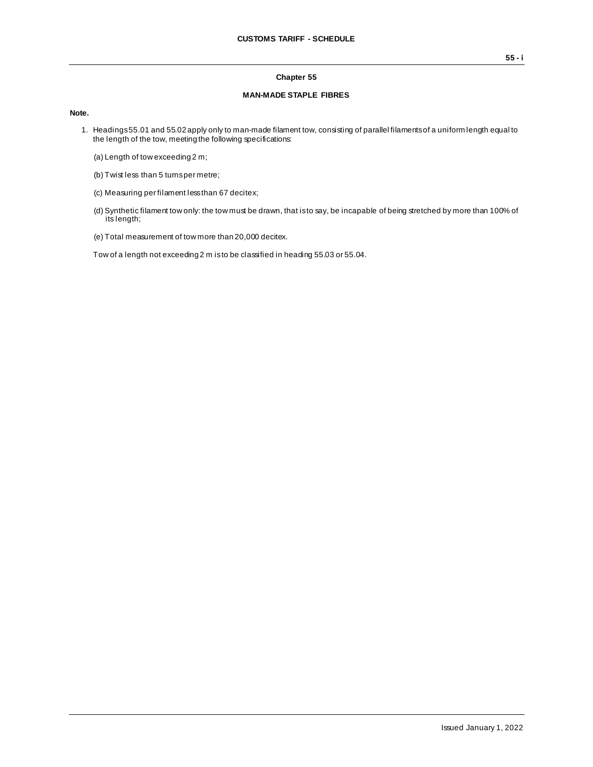#### **Chapter 55**

#### **MAN-MADE STAPLE FIBRES**

#### **Note.**

- 1. Headings 55.01 and 55.02 apply only to man-made filament tow, consisting of parallel filaments of a uniform length equal to the length of the tow, meeting the following specifications:
	- (a) Length of tow exceeding 2 m;
	- (b) Twist less than 5 turns per metre;
	- (c) Measuring per filament less than 67 decitex;
	- (d) Synthetic filament tow only: the tow must be drawn, that is to say, be incapable of being stretched by more than 100% of its length;
	- (e) Total measurement of tow more than 20,000 decitex.

Tow of a length not exceeding 2 m is to be classified in heading 55.03 or 55.04.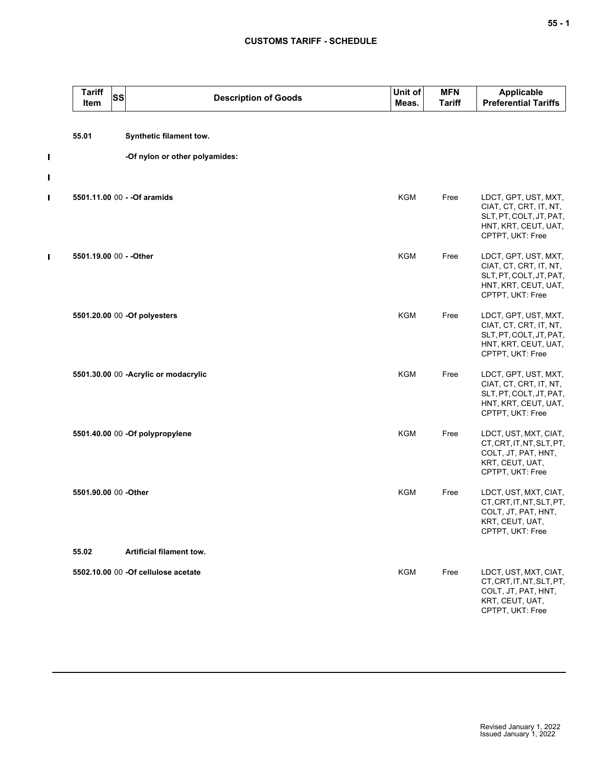| <b>Tariff</b><br>Item   | <b>SS</b> | <b>Description of Goods</b>           | Unit of<br>Meas. | <b>MFN</b><br><b>Tariff</b> | <b>Applicable</b><br><b>Preferential Tariffs</b>                                                                      |
|-------------------------|-----------|---------------------------------------|------------------|-----------------------------|-----------------------------------------------------------------------------------------------------------------------|
| 55.01                   |           | Synthetic filament tow.               |                  |                             |                                                                                                                       |
|                         |           | -Of nylon or other polyamides:        |                  |                             |                                                                                                                       |
|                         |           | 5501.11.00 00 - - Of aramids          | <b>KGM</b>       | Free                        | LDCT, GPT, UST, MXT,<br>CIAT, CT, CRT, IT, NT,<br>SLT, PT, COLT, JT, PAT,<br>HNT, KRT, CEUT, UAT,<br>CPTPT, UKT: Free |
| 5501.19.00 00 - - Other |           |                                       | <b>KGM</b>       | Free                        | LDCT, GPT, UST, MXT,<br>CIAT, CT, CRT, IT, NT,<br>SLT, PT, COLT, JT, PAT,<br>HNT, KRT, CEUT, UAT,<br>CPTPT, UKT: Free |
|                         |           | 5501.20.00 00 -Of polyesters          | <b>KGM</b>       | Free                        | LDCT, GPT, UST, MXT,<br>CIAT, CT, CRT, IT, NT,<br>SLT, PT, COLT, JT, PAT,<br>HNT, KRT, CEUT, UAT,<br>CPTPT, UKT: Free |
|                         |           | 5501.30.00 00 - Acrylic or modacrylic | <b>KGM</b>       | Free                        | LDCT, GPT, UST, MXT,<br>CIAT, CT, CRT, IT, NT,<br>SLT, PT, COLT, JT, PAT,<br>HNT, KRT, CEUT, UAT,<br>CPTPT, UKT: Free |
|                         |           | 5501.40.00 00 -Of polypropylene       | <b>KGM</b>       | Free                        | LDCT, UST, MXT, CIAT,<br>CT, CRT, IT, NT, SLT, PT,<br>COLT, JT, PAT, HNT,<br>KRT, CEUT, UAT,<br>CPTPT, UKT: Free      |
| 5501.90.00 00 -Other    |           |                                       | <b>KGM</b>       | Free                        | LDCT, UST, MXT, CIAT,<br>CT, CRT, IT, NT, SLT, PT,<br>COLT, JT, PAT, HNT,<br>KRT, CEUT, UAT,<br>CPTPT, UKT: Free      |
| 55.02                   |           | Artificial filament tow.              |                  |                             |                                                                                                                       |
|                         |           | 5502.10.00 00 -Of cellulose acetate   | <b>KGM</b>       | Free                        | LDCT, UST, MXT, CIAT,<br>CT, CRT, IT, NT, SLT, PT,<br>COLT, JT, PAT, HNT,<br>KRT, CEUT, UAT,<br>CPTPT, UKT: Free      |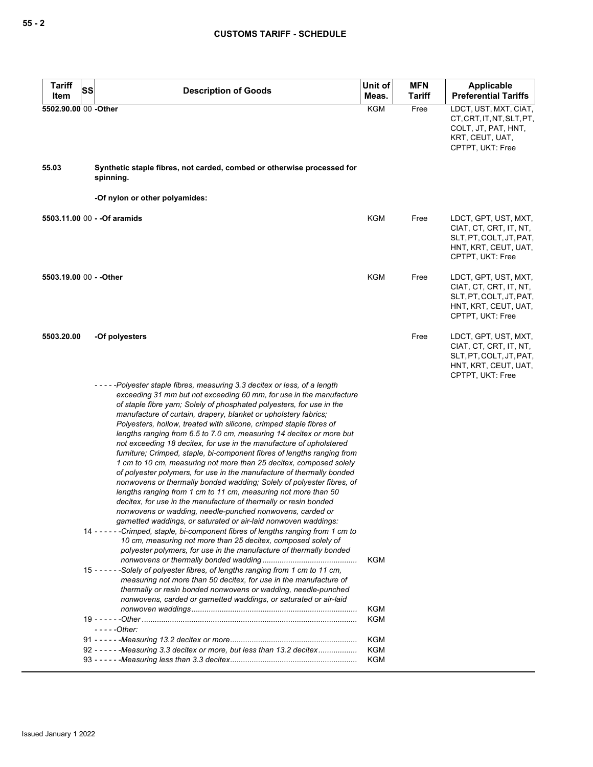| <b>Tariff</b><br>SS     | <b>Description of Goods</b>                                                                                                                                                                                                                                                                                                                                                                                                                                                                                                                                                                                                                                                                                                                                                                                                                                                                                                                                                                                                                                                                                                                                                                                                                                                                                                                                                                                                                                                                                                                                                                                                                     | Unit of           | <b>MFN</b>    | Applicable                                                                                                            |
|-------------------------|-------------------------------------------------------------------------------------------------------------------------------------------------------------------------------------------------------------------------------------------------------------------------------------------------------------------------------------------------------------------------------------------------------------------------------------------------------------------------------------------------------------------------------------------------------------------------------------------------------------------------------------------------------------------------------------------------------------------------------------------------------------------------------------------------------------------------------------------------------------------------------------------------------------------------------------------------------------------------------------------------------------------------------------------------------------------------------------------------------------------------------------------------------------------------------------------------------------------------------------------------------------------------------------------------------------------------------------------------------------------------------------------------------------------------------------------------------------------------------------------------------------------------------------------------------------------------------------------------------------------------------------------------|-------------------|---------------|-----------------------------------------------------------------------------------------------------------------------|
| Item                    |                                                                                                                                                                                                                                                                                                                                                                                                                                                                                                                                                                                                                                                                                                                                                                                                                                                                                                                                                                                                                                                                                                                                                                                                                                                                                                                                                                                                                                                                                                                                                                                                                                                 | Meas.             | <b>Tariff</b> | <b>Preferential Tariffs</b>                                                                                           |
| 5502.90.00 00 -Other    |                                                                                                                                                                                                                                                                                                                                                                                                                                                                                                                                                                                                                                                                                                                                                                                                                                                                                                                                                                                                                                                                                                                                                                                                                                                                                                                                                                                                                                                                                                                                                                                                                                                 | <b>KGM</b>        | Free          | LDCT, UST, MXT, CIAT,<br>CT, CRT, IT, NT, SLT, PT,<br>COLT, JT, PAT, HNT,<br>KRT, CEUT, UAT,<br>CPTPT, UKT: Free      |
| 55.03                   | Synthetic staple fibres, not carded, combed or otherwise processed for<br>spinning.                                                                                                                                                                                                                                                                                                                                                                                                                                                                                                                                                                                                                                                                                                                                                                                                                                                                                                                                                                                                                                                                                                                                                                                                                                                                                                                                                                                                                                                                                                                                                             |                   |               |                                                                                                                       |
|                         | -Of nylon or other polyamides:                                                                                                                                                                                                                                                                                                                                                                                                                                                                                                                                                                                                                                                                                                                                                                                                                                                                                                                                                                                                                                                                                                                                                                                                                                                                                                                                                                                                                                                                                                                                                                                                                  |                   |               |                                                                                                                       |
|                         | 5503.11.00 00 - - Of aramids                                                                                                                                                                                                                                                                                                                                                                                                                                                                                                                                                                                                                                                                                                                                                                                                                                                                                                                                                                                                                                                                                                                                                                                                                                                                                                                                                                                                                                                                                                                                                                                                                    | KGM               | Free          | LDCT, GPT, UST, MXT,<br>CIAT, CT, CRT, IT, NT,<br>SLT, PT, COLT, JT, PAT,<br>HNT, KRT, CEUT, UAT,<br>CPTPT, UKT: Free |
| 5503.19.00 00 - - Other |                                                                                                                                                                                                                                                                                                                                                                                                                                                                                                                                                                                                                                                                                                                                                                                                                                                                                                                                                                                                                                                                                                                                                                                                                                                                                                                                                                                                                                                                                                                                                                                                                                                 | KGM               | Free          | LDCT, GPT, UST, MXT,<br>CIAT, CT, CRT, IT, NT,<br>SLT.PT.COLT.JT.PAT.<br>HNT, KRT, CEUT, UAT,<br>CPTPT, UKT: Free     |
| 5503.20.00              | -Of polyesters                                                                                                                                                                                                                                                                                                                                                                                                                                                                                                                                                                                                                                                                                                                                                                                                                                                                                                                                                                                                                                                                                                                                                                                                                                                                                                                                                                                                                                                                                                                                                                                                                                  |                   | Free          | LDCT, GPT, UST, MXT,<br>CIAT, CT, CRT, IT, NT,<br>SLT, PT, COLT, JT, PAT,<br>HNT, KRT, CEUT, UAT,<br>CPTPT, UKT: Free |
|                         | -----Polyester staple fibres, measuring 3.3 decitex or less, of a length<br>exceeding 31 mm but not exceeding 60 mm, for use in the manufacture<br>of staple fibre yarn; Solely of phosphated polyesters, for use in the<br>manufacture of curtain, drapery, blanket or upholstery fabrics;<br>Polyesters, hollow, treated with silicone, crimped staple fibres of<br>lengths ranging from 6.5 to 7.0 cm, measuring 14 decitex or more but<br>not exceeding 18 decitex, for use in the manufacture of upholstered<br>furniture; Crimped, staple, bi-component fibres of lengths ranging from<br>1 cm to 10 cm, measuring not more than 25 decitex, composed solely<br>of polyester polymers, for use in the manufacture of thermally bonded<br>nonwovens or thermally bonded wadding; Solely of polyester fibres, of<br>lengths ranging from 1 cm to 11 cm, measuring not more than 50<br>decitex, for use in the manufacture of thermally or resin bonded<br>nonwovens or wadding, needle-punched nonwovens, carded or<br>garnetted waddings, or saturated or air-laid nonwoven waddings:<br>14 - - - - - - Crimped, staple, bi-component fibres of lengths ranging from 1 cm to<br>10 cm, measuring not more than 25 decitex, composed solely of<br>polyester polymers, for use in the manufacture of thermally bonded<br>-Solely of polyester fibres, of lengths ranging from 1 cm to 11 cm,<br>15 - - - - -<br>measuring not more than 50 decitex, for use in the manufacture of<br>thermally or resin bonded nonwovens or wadding, needle-punched<br>nonwovens, carded or garnetted waddings, or saturated or air-laid<br>- - - - - Other: | KGM<br>KGM<br>KGM |               |                                                                                                                       |
|                         |                                                                                                                                                                                                                                                                                                                                                                                                                                                                                                                                                                                                                                                                                                                                                                                                                                                                                                                                                                                                                                                                                                                                                                                                                                                                                                                                                                                                                                                                                                                                                                                                                                                 | KGM               |               |                                                                                                                       |
|                         | 92 - - - - - - - Measuring 3.3 decitex or more, but less than 13.2 decitex                                                                                                                                                                                                                                                                                                                                                                                                                                                                                                                                                                                                                                                                                                                                                                                                                                                                                                                                                                                                                                                                                                                                                                                                                                                                                                                                                                                                                                                                                                                                                                      | KGM               |               |                                                                                                                       |
|                         |                                                                                                                                                                                                                                                                                                                                                                                                                                                                                                                                                                                                                                                                                                                                                                                                                                                                                                                                                                                                                                                                                                                                                                                                                                                                                                                                                                                                                                                                                                                                                                                                                                                 | <b>KGM</b>        |               |                                                                                                                       |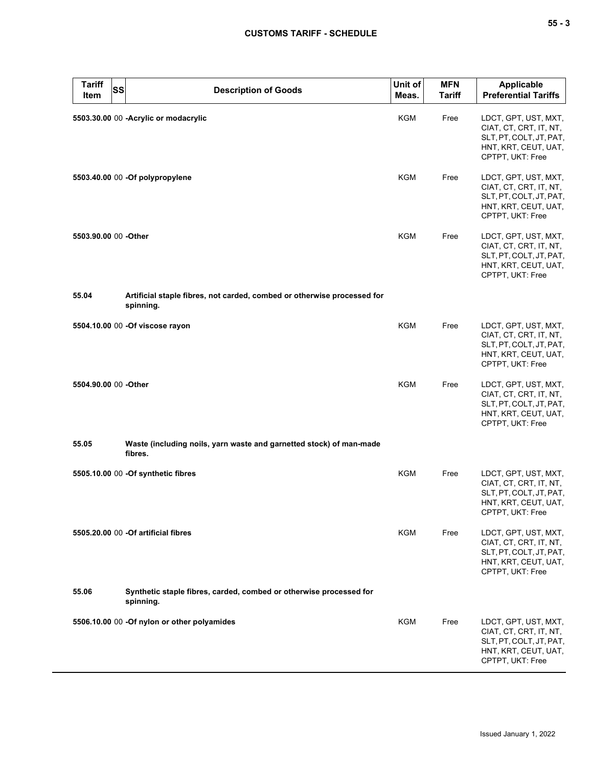| <b>Tariff</b><br><b>SS</b><br>Item | <b>Description of Goods</b>                                                          | Unit of<br>Meas. | <b>MFN</b><br><b>Tariff</b> | <b>Applicable</b><br><b>Preferential Tariffs</b>                                                                      |
|------------------------------------|--------------------------------------------------------------------------------------|------------------|-----------------------------|-----------------------------------------------------------------------------------------------------------------------|
|                                    | 5503.30.00 00 - Acrylic or modacrylic                                                | KGM              | Free                        | LDCT, GPT, UST, MXT,<br>CIAT, CT, CRT, IT, NT,<br>SLT, PT, COLT, JT, PAT,<br>HNT, KRT, CEUT, UAT,<br>CPTPT, UKT: Free |
|                                    | 5503.40.00 00 -Of polypropylene                                                      | KGM              | Free                        | LDCT, GPT, UST, MXT,<br>CIAT, CT, CRT, IT, NT,<br>SLT, PT, COLT, JT, PAT,<br>HNT, KRT, CEUT, UAT,<br>CPTPT, UKT: Free |
| 5503.90.00 00 - Other              |                                                                                      | KGM              | Free                        | LDCT, GPT, UST, MXT,<br>CIAT, CT, CRT, IT, NT,<br>SLT, PT, COLT, JT, PAT,<br>HNT, KRT, CEUT, UAT,<br>CPTPT, UKT: Free |
| 55.04                              | Artificial staple fibres, not carded, combed or otherwise processed for<br>spinning. |                  |                             |                                                                                                                       |
|                                    | 5504.10.00 00 -Of viscose rayon                                                      | <b>KGM</b>       | Free                        | LDCT, GPT, UST, MXT,<br>CIAT, CT, CRT, IT, NT,<br>SLT, PT, COLT, JT, PAT,<br>HNT, KRT, CEUT, UAT,<br>CPTPT, UKT: Free |
| 5504.90.00 00 - Other              |                                                                                      | KGM              | Free                        | LDCT, GPT, UST, MXT,<br>CIAT, CT, CRT, IT, NT,<br>SLT, PT, COLT, JT, PAT,<br>HNT, KRT, CEUT, UAT,<br>CPTPT, UKT: Free |
| 55.05                              | Waste (including noils, yarn waste and garnetted stock) of man-made<br>fibres.       |                  |                             |                                                                                                                       |
|                                    | 5505.10.00 00 -Of synthetic fibres                                                   | <b>KGM</b>       | Free                        | LDCT, GPT, UST, MXT,<br>CIAT, CT, CRT, IT, NT,<br>SLT, PT, COLT, JT, PAT,<br>HNT, KRT, CEUT, UAT,<br>CPTPT, UKT: Free |
|                                    | 5505.20.00 00 - Of artificial fibres                                                 | KGM              | Free                        | LDCT, GPT, UST, MXT,<br>CIAT, CT, CRT, IT, NT,<br>SLT, PT, COLT, JT, PAT,<br>HNT, KRT, CEUT, UAT,<br>CPTPT, UKT: Free |
| 55.06                              | Synthetic staple fibres, carded, combed or otherwise processed for<br>spinning.      |                  |                             |                                                                                                                       |
|                                    | 5506.10.00 00 -Of nylon or other polyamides                                          | KGM              | Free                        | LDCT, GPT, UST, MXT,<br>CIAT, CT, CRT, IT, NT,<br>SLT, PT, COLT, JT, PAT,<br>HNT, KRT, CEUT, UAT,<br>CPTPT, UKT: Free |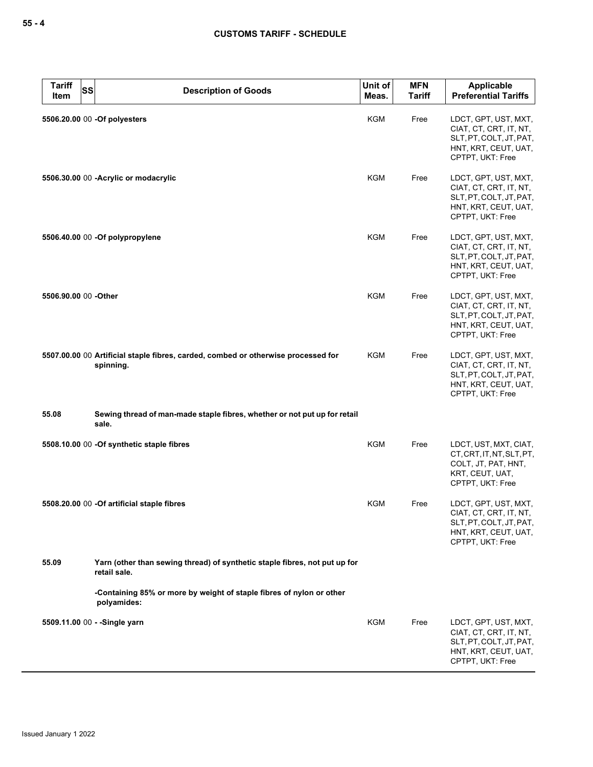| <b>Tariff</b><br>Item | <b>SS</b> | <b>Description of Goods</b>                                                                    | Unit of<br>Meas. | <b>MFN</b><br><b>Tariff</b> | <b>Applicable</b><br><b>Preferential Tariffs</b>                                                                      |
|-----------------------|-----------|------------------------------------------------------------------------------------------------|------------------|-----------------------------|-----------------------------------------------------------------------------------------------------------------------|
|                       |           | 5506.20.00 00 -Of polyesters                                                                   | KGM              | Free                        | LDCT, GPT, UST, MXT,<br>CIAT, CT, CRT, IT, NT,<br>SLT, PT, COLT, JT, PAT,<br>HNT, KRT, CEUT, UAT,<br>CPTPT, UKT: Free |
|                       |           | 5506.30.00 00 - Acrylic or modacrylic                                                          | KGM              | Free                        | LDCT, GPT, UST, MXT,<br>CIAT, CT, CRT, IT, NT,<br>SLT, PT, COLT, JT, PAT,<br>HNT, KRT, CEUT, UAT,<br>CPTPT, UKT: Free |
|                       |           | 5506.40.00 00 -Of polypropylene                                                                | KGM              | Free                        | LDCT, GPT, UST, MXT,<br>CIAT, CT, CRT, IT, NT,<br>SLT, PT, COLT, JT, PAT,<br>HNT, KRT, CEUT, UAT,<br>CPTPT, UKT: Free |
| 5506.90.00 00 -Other  |           |                                                                                                | KGM              | Free                        | LDCT, GPT, UST, MXT,<br>CIAT, CT, CRT, IT, NT,<br>SLT, PT, COLT, JT, PAT,<br>HNT, KRT, CEUT, UAT,<br>CPTPT, UKT: Free |
|                       |           | 5507.00.00 00 Artificial staple fibres, carded, combed or otherwise processed for<br>spinning. | KGM              | Free                        | LDCT, GPT, UST, MXT,<br>CIAT, CT, CRT, IT, NT,<br>SLT, PT, COLT, JT, PAT,<br>HNT, KRT, CEUT, UAT,<br>CPTPT, UKT: Free |
| 55.08                 |           | Sewing thread of man-made staple fibres, whether or not put up for retail<br>sale.             |                  |                             |                                                                                                                       |
|                       |           | 5508.10.00 00 -Of synthetic staple fibres                                                      | KGM              | Free                        | LDCT, UST, MXT, CIAT,<br>CT, CRT, IT, NT, SLT, PT,<br>COLT, JT, PAT, HNT,<br>KRT, CEUT, UAT,<br>CPTPT, UKT: Free      |
|                       |           | 5508.20.00 00 -Of artificial staple fibres                                                     | KGM              | Free                        | LDCT, GPT, UST, MXT,<br>CIAT, CT, CRT, IT, NT,<br>SLT, PT, COLT, JT, PAT,<br>HNT, KRT, CEUT, UAT,<br>CPTPT, UKT: Free |
| 55.09                 |           | Yarn (other than sewing thread) of synthetic staple fibres, not put up for<br>retail sale.     |                  |                             |                                                                                                                       |
|                       |           | -Containing 85% or more by weight of staple fibres of nylon or other<br>polyamides:            |                  |                             |                                                                                                                       |
|                       |           | 5509.11.00 00 - - Single yarn                                                                  | <b>KGM</b>       | Free                        | LDCT, GPT, UST, MXT,<br>CIAT, CT, CRT, IT, NT,<br>SLT, PT, COLT, JT, PAT,<br>HNT, KRT, CEUT, UAT,<br>CPTPT, UKT: Free |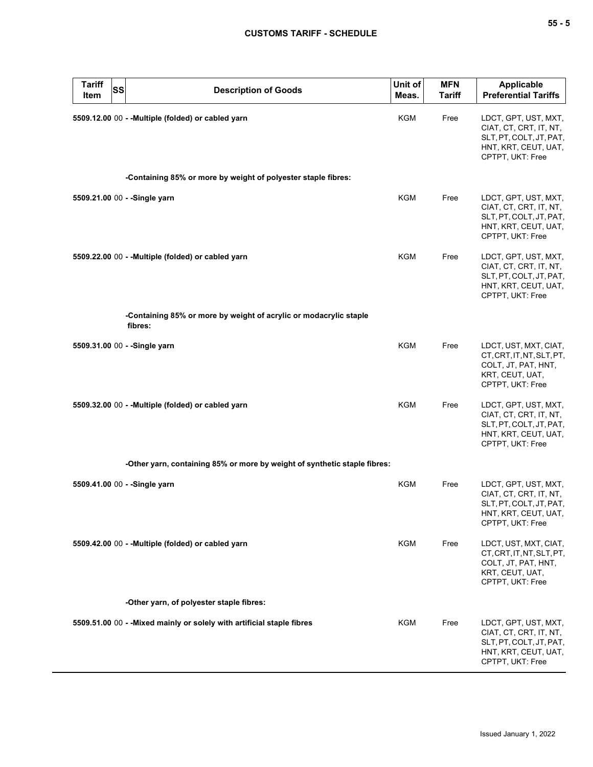| <b>Tariff</b><br><b>SS</b><br>Item | <b>Description of Goods</b>                                                  | Unit of<br>Meas. | <b>MFN</b><br><b>Tariff</b> | <b>Applicable</b><br><b>Preferential Tariffs</b>                                                                      |
|------------------------------------|------------------------------------------------------------------------------|------------------|-----------------------------|-----------------------------------------------------------------------------------------------------------------------|
|                                    | 5509.12.00 00 - - Multiple (folded) or cabled yarn                           | <b>KGM</b>       | Free                        | LDCT, GPT, UST, MXT,<br>CIAT, CT, CRT, IT, NT,<br>SLT, PT, COLT, JT, PAT,<br>HNT, KRT, CEUT, UAT,<br>CPTPT, UKT: Free |
|                                    | -Containing 85% or more by weight of polyester staple fibres:                |                  |                             |                                                                                                                       |
| 5509.21.00 00 - - Single yarn      |                                                                              | <b>KGM</b>       | Free                        | LDCT, GPT, UST, MXT,<br>CIAT, CT, CRT, IT, NT,<br>SLT, PT, COLT, JT, PAT,<br>HNT, KRT, CEUT, UAT,<br>CPTPT, UKT: Free |
|                                    | 5509.22.00 00 - - Multiple (folded) or cabled yarn                           | KGM              | Free                        | LDCT, GPT, UST, MXT,<br>CIAT, CT, CRT, IT, NT,<br>SLT, PT, COLT, JT, PAT,<br>HNT, KRT, CEUT, UAT,<br>CPTPT, UKT: Free |
|                                    | -Containing 85% or more by weight of acrylic or modacrylic staple<br>fibres: |                  |                             |                                                                                                                       |
| 5509.31.00 00 - - Single yarn      |                                                                              | <b>KGM</b>       | Free                        | LDCT, UST, MXT, CIAT,<br>CT, CRT, IT, NT, SLT, PT,<br>COLT, JT, PAT, HNT,<br>KRT, CEUT, UAT,<br>CPTPT, UKT: Free      |
|                                    | 5509.32.00 00 - - Multiple (folded) or cabled yarn                           | KGM              | Free                        | LDCT, GPT, UST, MXT,<br>CIAT, CT, CRT, IT, NT,<br>SLT, PT, COLT, JT, PAT,<br>HNT, KRT, CEUT, UAT,<br>CPTPT, UKT: Free |
|                                    | -Other yarn, containing 85% or more by weight of synthetic staple fibres:    |                  |                             |                                                                                                                       |
| 5509.41.00 00 - -Single yarn       |                                                                              | <b>KGM</b>       | Free                        | LDCT, GPT, UST, MXT,<br>CIAT, CT, CRT, IT, NT,<br>SLT, PT, COLT, JT, PAT,<br>HNT, KRT, CEUT, UAT,<br>CPTPT, UKT: Free |
|                                    | 5509.42.00 00 - - Multiple (folded) or cabled yarn                           | KGM              | Free                        | LDCT, UST, MXT, CIAT,<br>CT, CRT, IT, NT, SLT, PT,<br>COLT, JT, PAT, HNT,<br>KRT, CEUT, UAT,<br>CPTPT, UKT: Free      |
|                                    | -Other yarn, of polyester staple fibres:                                     |                  |                             |                                                                                                                       |
|                                    | 5509.51.00 00 - - Mixed mainly or solely with artificial staple fibres       | KGM              | Free                        | LDCT, GPT, UST, MXT,<br>CIAT, CT, CRT, IT, NT,<br>SLT, PT, COLT, JT, PAT,<br>HNT, KRT, CEUT, UAT,<br>CPTPT, UKT: Free |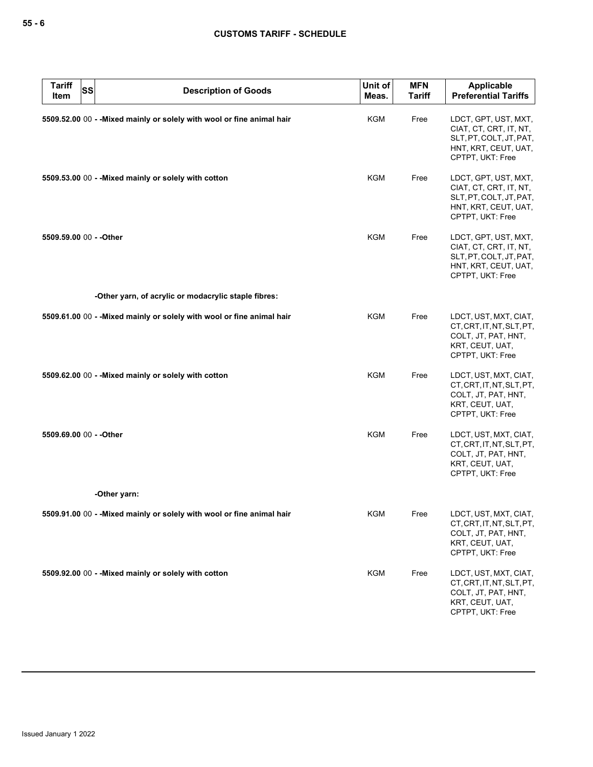| <b>Tariff</b><br>Item   | <b>SS</b> | <b>Description of Goods</b>                                            | Unit of<br>Meas. | <b>MFN</b><br><b>Tariff</b> | Applicable<br><b>Preferential Tariffs</b>                                                                             |
|-------------------------|-----------|------------------------------------------------------------------------|------------------|-----------------------------|-----------------------------------------------------------------------------------------------------------------------|
|                         |           | 5509.52.00 00 - - Mixed mainly or solely with wool or fine animal hair | <b>KGM</b>       | Free                        | LDCT, GPT, UST, MXT,<br>CIAT, CT, CRT, IT, NT,<br>SLT, PT, COLT, JT, PAT,<br>HNT, KRT, CEUT, UAT,<br>CPTPT, UKT: Free |
|                         |           | 5509.53.00 00 - - Mixed mainly or solely with cotton                   | <b>KGM</b>       | Free                        | LDCT, GPT, UST, MXT,<br>CIAT, CT, CRT, IT, NT,<br>SLT, PT, COLT, JT, PAT,<br>HNT, KRT, CEUT, UAT,<br>CPTPT, UKT: Free |
| 5509.59.00 00 - - Other |           |                                                                        | <b>KGM</b>       | Free                        | LDCT, GPT, UST, MXT,<br>CIAT, CT, CRT, IT, NT,<br>SLT, PT, COLT, JT, PAT,<br>HNT, KRT, CEUT, UAT,<br>CPTPT, UKT: Free |
|                         |           | -Other yarn, of acrylic or modacrylic staple fibres:                   |                  |                             |                                                                                                                       |
|                         |           | 5509.61.00 00 - - Mixed mainly or solely with wool or fine animal hair | <b>KGM</b>       | Free                        | LDCT, UST, MXT, CIAT,<br>CT.CRT.IT.NT.SLT.PT.<br>COLT, JT, PAT, HNT,<br>KRT, CEUT, UAT,<br>CPTPT, UKT: Free           |
|                         |           | 5509.62.00 00 - - Mixed mainly or solely with cotton                   | KGM              | Free                        | LDCT, UST, MXT, CIAT,<br>CT, CRT, IT, NT, SLT, PT,<br>COLT, JT, PAT, HNT,<br>KRT, CEUT, UAT,<br>CPTPT, UKT: Free      |
| 5509.69.00 00 - - Other |           |                                                                        | <b>KGM</b>       | Free                        | LDCT, UST, MXT, CIAT,<br>CT, CRT, IT, NT, SLT, PT,<br>COLT, JT, PAT, HNT,<br>KRT, CEUT, UAT,<br>CPTPT, UKT: Free      |
|                         |           | -Other yarn:                                                           |                  |                             |                                                                                                                       |
|                         |           | 5509.91.00 00 - - Mixed mainly or solely with wool or fine animal hair | KGM              | Free                        | LDCT, UST, MXT, CIAT,<br>CT, CRT, IT, NT, SLT, PT,<br>COLT, JT, PAT, HNT,<br>KRT, CEUT, UAT,<br>CPTPT, UKT: Free      |
|                         |           | 5509.92.00 00 - - Mixed mainly or solely with cotton                   | <b>KGM</b>       | Free                        | LDCT, UST, MXT, CIAT,<br>CT, CRT, IT, NT, SLT, PT,<br>COLT, JT, PAT, HNT,<br>KRT, CEUT, UAT,<br>CPTPT, UKT: Free      |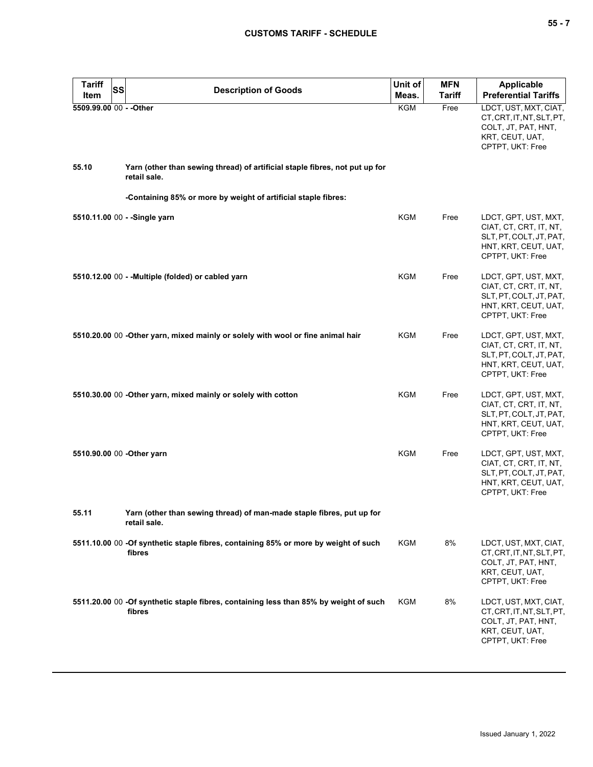| <b>Tariff</b><br><b>SS</b> | <b>Description of Goods</b>                                                                     | Unit of    | <b>MFN</b>    | <b>Applicable</b>                                                                                                     |
|----------------------------|-------------------------------------------------------------------------------------------------|------------|---------------|-----------------------------------------------------------------------------------------------------------------------|
| Item                       |                                                                                                 | Meas.      | <b>Tariff</b> | <b>Preferential Tariffs</b>                                                                                           |
| 5509.99.00 00 - - Other    |                                                                                                 | KGM        | Free          | LDCT, UST, MXT, CIAT,<br>CT, CRT, IT, NT, SLT, PT,<br>COLT, JT, PAT, HNT,<br>KRT, CEUT, UAT,<br>CPTPT, UKT: Free      |
| 55.10                      | Yarn (other than sewing thread) of artificial staple fibres, not put up for<br>retail sale.     |            |               |                                                                                                                       |
|                            | -Containing 85% or more by weight of artificial staple fibres:                                  |            |               |                                                                                                                       |
|                            | 5510.11.00 00 - - Single yarn                                                                   | <b>KGM</b> | Free          | LDCT, GPT, UST, MXT,<br>CIAT, CT, CRT, IT, NT,<br>SLT, PT, COLT, JT, PAT,<br>HNT, KRT, CEUT, UAT,<br>CPTPT, UKT: Free |
|                            | 5510.12.00 00 - - Multiple (folded) or cabled yarn                                              | <b>KGM</b> | Free          | LDCT, GPT, UST, MXT,<br>CIAT, CT, CRT, IT, NT,<br>SLT, PT, COLT, JT, PAT,<br>HNT, KRT, CEUT, UAT,<br>CPTPT, UKT: Free |
|                            | 5510.20.00 00 -Other yarn, mixed mainly or solely with wool or fine animal hair                 | KGM        | Free          | LDCT, GPT, UST, MXT,<br>CIAT, CT, CRT, IT, NT,<br>SLT, PT, COLT, JT, PAT,<br>HNT, KRT, CEUT, UAT,<br>CPTPT, UKT: Free |
|                            | 5510.30.00 00 -Other yarn, mixed mainly or solely with cotton                                   | <b>KGM</b> | Free          | LDCT, GPT, UST, MXT,<br>CIAT, CT, CRT, IT, NT,<br>SLT, PT, COLT, JT, PAT,<br>HNT, KRT, CEUT, UAT,<br>CPTPT, UKT: Free |
|                            | 5510.90.00 00 - Other yarn                                                                      | <b>KGM</b> | Free          | LDCT, GPT, UST, MXT,<br>CIAT, CT, CRT, IT, NT,<br>SLT, PT, COLT, JT, PAT,<br>HNT, KRT, CEUT, UAT,<br>CPTPT, UKT: Free |
| 55.11                      | Yarn (other than sewing thread) of man-made staple fibres, put up for<br>retail sale.           |            |               |                                                                                                                       |
|                            | 5511.10.00 00 -Of synthetic staple fibres, containing 85% or more by weight of such<br>fibres   | <b>KGM</b> | 8%            | LDCT, UST, MXT, CIAT,<br>CT, CRT, IT, NT, SLT, PT,<br>COLT, JT, PAT, HNT,<br>KRT, CEUT, UAT,<br>CPTPT, UKT: Free      |
|                            | 5511.20.00 00 -Of synthetic staple fibres, containing less than 85% by weight of such<br>fibres | KGM        | 8%            | LDCT, UST, MXT, CIAT,<br>CT, CRT, IT, NT, SLT, PT,<br>COLT, JT, PAT, HNT,<br>KRT, CEUT, UAT,<br>CPTPT, UKT: Free      |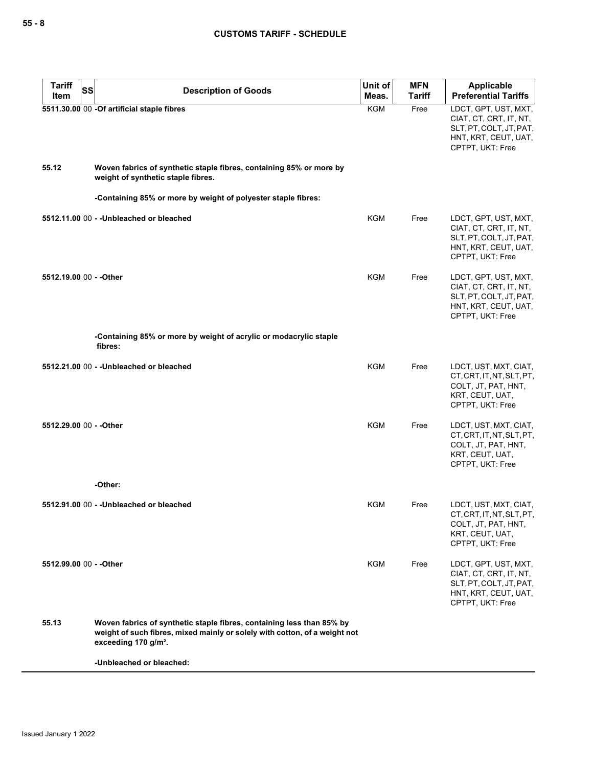| <b>Tariff</b><br>SS<br>Item | <b>Description of Goods</b>                                                                                                                                                             | Unit of<br>Meas. | <b>MFN</b><br><b>Tariff</b> | Applicable<br><b>Preferential Tariffs</b>                                                                             |
|-----------------------------|-----------------------------------------------------------------------------------------------------------------------------------------------------------------------------------------|------------------|-----------------------------|-----------------------------------------------------------------------------------------------------------------------|
|                             | 5511.30.00 00 -Of artificial staple fibres                                                                                                                                              | KGM              | Free                        | LDCT, GPT, UST, MXT,<br>CIAT, CT, CRT, IT, NT,<br>SLT, PT, COLT, JT, PAT,<br>HNT, KRT, CEUT, UAT,<br>CPTPT, UKT: Free |
| 55.12                       | Woven fabrics of synthetic staple fibres, containing 85% or more by<br>weight of synthetic staple fibres.                                                                               |                  |                             |                                                                                                                       |
|                             | -Containing 85% or more by weight of polyester staple fibres:                                                                                                                           |                  |                             |                                                                                                                       |
|                             | 5512.11.00 00 - - Unbleached or bleached                                                                                                                                                | <b>KGM</b>       | Free                        | LDCT, GPT, UST, MXT,<br>CIAT, CT, CRT, IT, NT,<br>SLT, PT, COLT, JT, PAT,<br>HNT, KRT, CEUT, UAT,<br>CPTPT, UKT: Free |
| 5512.19.00 00 - - Other     |                                                                                                                                                                                         | <b>KGM</b>       | Free                        | LDCT, GPT, UST, MXT,<br>CIAT, CT, CRT, IT, NT,<br>SLT, PT, COLT, JT, PAT,<br>HNT, KRT, CEUT, UAT,<br>CPTPT, UKT: Free |
|                             | -Containing 85% or more by weight of acrylic or modacrylic staple<br>fibres:                                                                                                            |                  |                             |                                                                                                                       |
|                             | 5512.21.00 00 - - Unbleached or bleached                                                                                                                                                | KGM              | Free                        | LDCT, UST, MXT, CIAT,<br>CT, CRT, IT, NT, SLT, PT,<br>COLT, JT, PAT, HNT,<br>KRT, CEUT, UAT,<br>CPTPT, UKT: Free      |
| 5512.29.00 00 - - Other     |                                                                                                                                                                                         | <b>KGM</b>       | Free                        | LDCT, UST, MXT, CIAT,<br>CT, CRT, IT, NT, SLT, PT,<br>COLT, JT, PAT, HNT,<br>KRT, CEUT, UAT,<br>CPTPT, UKT: Free      |
|                             | -Other:                                                                                                                                                                                 |                  |                             |                                                                                                                       |
|                             | 5512.91.00 00 - - Unbleached or bleached                                                                                                                                                | <b>KGM</b>       | Free                        | LDCT, UST, MXT, CIAT,<br>CT, CRT, IT, NT, SLT, PT,<br>COLT, JT, PAT, HNT,<br>KRT, CEUT, UAT,<br>CPTPT, UKT: Free      |
| 5512.99.00 00 - - Other     |                                                                                                                                                                                         | KGM              | Free                        | LDCT, GPT, UST, MXT,<br>CIAT, CT, CRT, IT, NT,<br>SLT, PT, COLT, JT, PAT,<br>HNT, KRT, CEUT, UAT,<br>CPTPT, UKT: Free |
| 55.13                       | Woven fabrics of synthetic staple fibres, containing less than 85% by<br>weight of such fibres, mixed mainly or solely with cotton, of a weight not<br>exceeding 170 g/m <sup>2</sup> . |                  |                             |                                                                                                                       |
|                             | -Unbleached or bleached:                                                                                                                                                                |                  |                             |                                                                                                                       |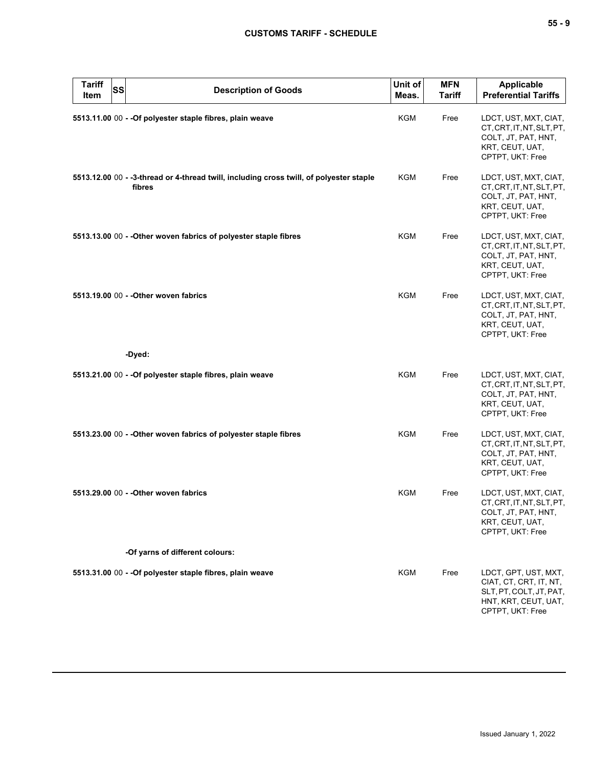| <b>Tariff</b><br>Item | <b>ss</b> | <b>Description of Goods</b>                                                                       | Unit of<br>Meas. | <b>MFN</b><br><b>Tariff</b> | <b>Applicable</b><br><b>Preferential Tariffs</b>                                                                      |
|-----------------------|-----------|---------------------------------------------------------------------------------------------------|------------------|-----------------------------|-----------------------------------------------------------------------------------------------------------------------|
|                       |           | 5513.11.00 00 - - Of polyester staple fibres, plain weave                                         | <b>KGM</b>       | Free                        | LDCT, UST, MXT, CIAT,<br>CT, CRT, IT, NT, SLT, PT,<br>COLT, JT, PAT, HNT,<br>KRT, CEUT, UAT,<br>CPTPT, UKT: Free      |
|                       |           | 5513.12.00 00 - -3-thread or 4-thread twill, including cross twill, of polyester staple<br>fibres | <b>KGM</b>       | Free                        | LDCT, UST, MXT, CIAT,<br>CT, CRT, IT, NT, SLT, PT,<br>COLT, JT, PAT, HNT,<br>KRT, CEUT, UAT,<br>CPTPT, UKT: Free      |
|                       |           | 5513.13.00 00 - - Other woven fabrics of polyester staple fibres                                  | KGM              | Free                        | LDCT, UST, MXT, CIAT,<br>CT, CRT, IT, NT, SLT, PT,<br>COLT, JT, PAT, HNT,<br>KRT, CEUT, UAT,<br>CPTPT, UKT: Free      |
|                       |           | 5513.19.00 00 - - Other woven fabrics                                                             | <b>KGM</b>       | Free                        | LDCT, UST, MXT, CIAT,<br>CT, CRT, IT, NT, SLT, PT,<br>COLT, JT, PAT, HNT,<br>KRT, CEUT, UAT,<br>CPTPT, UKT: Free      |
|                       |           | -Dyed:                                                                                            |                  |                             |                                                                                                                       |
|                       |           | 5513.21.00 00 - - Of polyester staple fibres, plain weave                                         | <b>KGM</b>       | Free                        | LDCT, UST, MXT, CIAT,<br>CT, CRT, IT, NT, SLT, PT,<br>COLT, JT, PAT, HNT,<br>KRT, CEUT, UAT,<br>CPTPT, UKT: Free      |
|                       |           | 5513.23.00 00 - - Other woven fabrics of polyester staple fibres                                  | KGM              | Free                        | LDCT, UST, MXT, CIAT,<br>CT, CRT, IT, NT, SLT, PT,<br>COLT, JT, PAT, HNT,<br>KRT, CEUT, UAT,<br>CPTPT, UKT: Free      |
|                       |           | 5513.29.00 00 - - Other woven fabrics                                                             | <b>KGM</b>       | Free                        | LDCT, UST, MXT, CIAT,<br>CT, CRT, IT, NT, SLT, PT,<br>COLT, JT, PAT, HNT,<br>KRT, CEUT, UAT,<br>CPTPT, UKT: Free      |
|                       |           | -Of yarns of different colours:                                                                   |                  |                             |                                                                                                                       |
|                       |           | 5513.31.00 00 - - Of polyester staple fibres, plain weave                                         | <b>KGM</b>       | Free                        | LDCT, GPT, UST, MXT,<br>CIAT, CT, CRT, IT, NT,<br>SLT, PT, COLT, JT, PAT,<br>HNT, KRT, CEUT, UAT,<br>CPTPT, UKT: Free |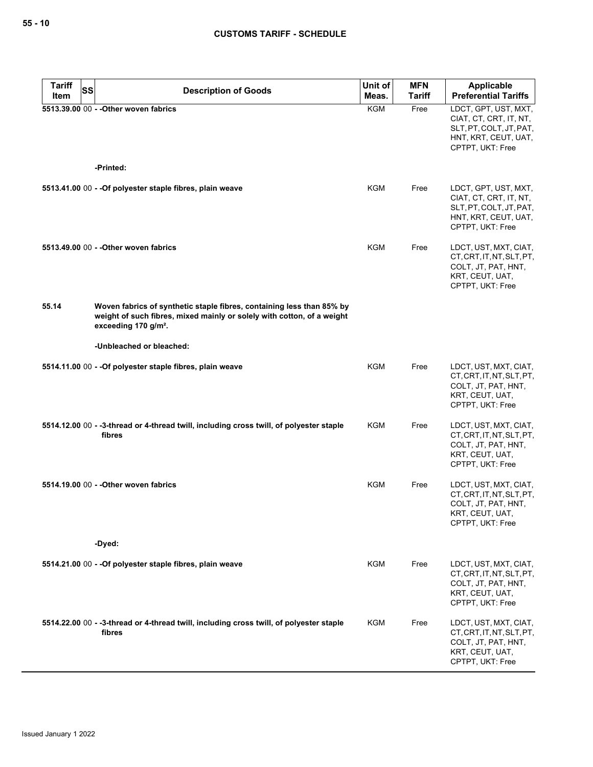| <b>Tariff</b><br><b>SS</b> | <b>Description of Goods</b>                                                                                                                                                         | Unit of    | <b>MFN</b>    | <b>Applicable</b>                                                                                                     |
|----------------------------|-------------------------------------------------------------------------------------------------------------------------------------------------------------------------------------|------------|---------------|-----------------------------------------------------------------------------------------------------------------------|
| Item                       |                                                                                                                                                                                     | Meas.      | <b>Tariff</b> | <b>Preferential Tariffs</b>                                                                                           |
|                            | 5513.39.00 00 - - Other woven fabrics                                                                                                                                               | <b>KGM</b> | Free          | LDCT, GPT, UST, MXT,<br>CIAT, CT, CRT, IT, NT,<br>SLT, PT, COLT, JT, PAT,<br>HNT, KRT, CEUT, UAT,<br>CPTPT, UKT: Free |
|                            | -Printed:                                                                                                                                                                           |            |               |                                                                                                                       |
|                            | 5513.41.00 00 - - Of polyester staple fibres, plain weave                                                                                                                           | KGM        | Free          | LDCT, GPT, UST, MXT,<br>CIAT, CT, CRT, IT, NT,<br>SLT, PT, COLT, JT, PAT,<br>HNT, KRT, CEUT, UAT,<br>CPTPT, UKT: Free |
|                            | 5513.49.00 00 - - Other woven fabrics                                                                                                                                               | KGM        | Free          | LDCT, UST, MXT, CIAT,<br>CT, CRT, IT, NT, SLT, PT,<br>COLT, JT, PAT, HNT,<br>KRT, CEUT, UAT,<br>CPTPT, UKT: Free      |
| 55.14                      | Woven fabrics of synthetic staple fibres, containing less than 85% by<br>weight of such fibres, mixed mainly or solely with cotton, of a weight<br>exceeding 170 g/m <sup>2</sup> . |            |               |                                                                                                                       |
|                            | -Unbleached or bleached:                                                                                                                                                            |            |               |                                                                                                                       |
|                            | 5514.11.00 00 - - Of polyester staple fibres, plain weave                                                                                                                           | KGM        | Free          | LDCT, UST, MXT, CIAT,<br>CT, CRT, IT, NT, SLT, PT,<br>COLT, JT, PAT, HNT,<br>KRT, CEUT, UAT,<br>CPTPT, UKT: Free      |
|                            | 5514.12.00 00 - -3-thread or 4-thread twill, including cross twill, of polyester staple<br>fibres                                                                                   | KGM        | Free          | LDCT, UST, MXT, CIAT,<br>CT, CRT, IT, NT, SLT, PT,<br>COLT, JT, PAT, HNT,<br>KRT, CEUT, UAT,<br>CPTPT, UKT: Free      |
|                            | 5514.19.00 00 - - Other woven fabrics                                                                                                                                               | <b>KGM</b> | Free          | LDCT, UST, MXT, CIAT,<br>CT, CRT, IT, NT, SLT, PT,<br>COLT, JT, PAT, HNT,<br>KRT, CEUT, UAT,<br>CPTPT, UKT: Free      |
|                            | -Dyed:                                                                                                                                                                              |            |               |                                                                                                                       |
|                            | 5514.21.00 00 - - Of polyester staple fibres, plain weave                                                                                                                           | KGM        | Free          | LDCT, UST, MXT, CIAT,<br>CT, CRT, IT, NT, SLT, PT,<br>COLT, JT, PAT, HNT,<br>KRT, CEUT, UAT,<br>CPTPT, UKT: Free      |
|                            | 5514.22.00 00 - -3-thread or 4-thread twill, including cross twill, of polyester staple<br>fibres                                                                                   | KGM        | Free          | LDCT, UST, MXT, CIAT,<br>CT, CRT, IT, NT, SLT, PT,<br>COLT, JT, PAT, HNT,<br>KRT, CEUT, UAT,<br>CPTPT, UKT: Free      |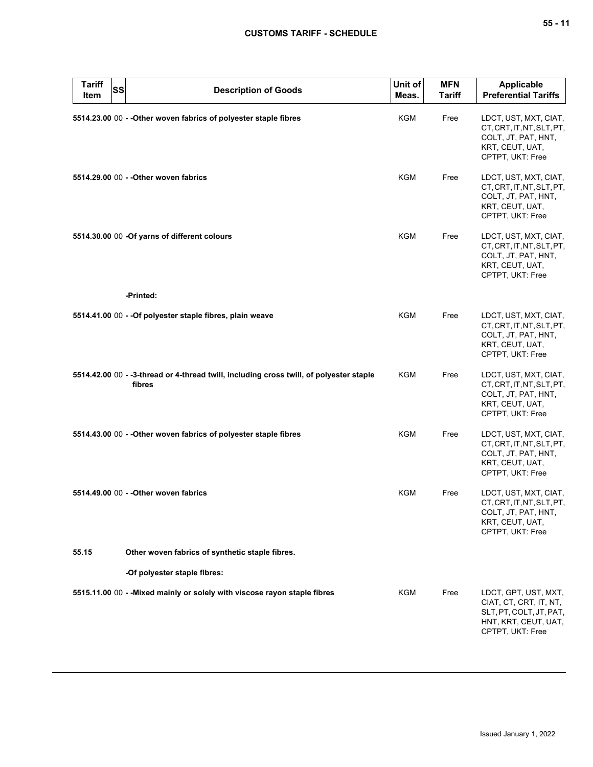| <b>Tariff</b><br><b>Item</b> | <b>SS</b> | <b>Description of Goods</b>                                                                       | Unit of<br>Meas. | <b>MFN</b><br><b>Tariff</b> | <b>Applicable</b><br><b>Preferential Tariffs</b>                                                                      |
|------------------------------|-----------|---------------------------------------------------------------------------------------------------|------------------|-----------------------------|-----------------------------------------------------------------------------------------------------------------------|
|                              |           | 5514.23.00 00 - - Other woven fabrics of polyester staple fibres                                  | KGM              | Free                        | LDCT, UST, MXT, CIAT,<br>CT, CRT, IT, NT, SLT, PT,<br>COLT, JT, PAT, HNT,<br>KRT, CEUT, UAT,<br>CPTPT, UKT: Free      |
|                              |           | 5514.29.00 00 - - Other woven fabrics                                                             | <b>KGM</b>       | Free                        | LDCT, UST, MXT, CIAT,<br>CT, CRT, IT, NT, SLT, PT,<br>COLT, JT, PAT, HNT,<br>KRT, CEUT, UAT,<br>CPTPT, UKT: Free      |
|                              |           | 5514.30.00 00 -Of yarns of different colours                                                      | <b>KGM</b>       | Free                        | LDCT, UST, MXT, CIAT,<br>CT, CRT, IT, NT, SLT, PT,<br>COLT, JT, PAT, HNT,<br>KRT, CEUT, UAT,<br>CPTPT, UKT: Free      |
|                              |           | -Printed:                                                                                         |                  |                             |                                                                                                                       |
|                              |           | 5514.41.00 00 - - Of polyester staple fibres, plain weave                                         | KGM              | Free                        | LDCT, UST, MXT, CIAT,<br>CT, CRT, IT, NT, SLT, PT,<br>COLT, JT, PAT, HNT,<br>KRT, CEUT, UAT,<br>CPTPT, UKT: Free      |
|                              |           | 5514.42.00 00 - -3-thread or 4-thread twill, including cross twill, of polyester staple<br>fibres | KGM              | Free                        | LDCT, UST, MXT, CIAT,<br>CT, CRT, IT, NT, SLT, PT,<br>COLT, JT, PAT, HNT,<br>KRT, CEUT, UAT,<br>CPTPT, UKT: Free      |
|                              |           | 5514.43.00 00 - - Other woven fabrics of polyester staple fibres                                  | <b>KGM</b>       | Free                        | LDCT, UST, MXT, CIAT,<br>CT, CRT, IT, NT, SLT, PT,<br>COLT, JT, PAT, HNT,<br>KRT, CEUT, UAT,<br>CPTPT, UKT: Free      |
|                              |           | 5514.49.00 00 - - Other woven fabrics                                                             | KGM              | Free                        | LDCT, UST, MXT, CIAT,<br>CT, CRT, IT, NT, SLT, PT,<br>COLT, JT, PAT, HNT,<br>KRT, CEUT, UAT,<br>CPTPT, UKT: Free      |
| 55.15                        |           | Other woven fabrics of synthetic staple fibres.                                                   |                  |                             |                                                                                                                       |
|                              |           | -Of polyester staple fibres:                                                                      |                  |                             |                                                                                                                       |
|                              |           | 5515.11.00 00 - - Mixed mainly or solely with viscose rayon staple fibres                         | KGM              | Free                        | LDCT, GPT, UST, MXT,<br>CIAT, CT, CRT, IT, NT,<br>SLT, PT, COLT, JT, PAT,<br>HNT, KRT, CEUT, UAT,<br>CPTPT, UKT: Free |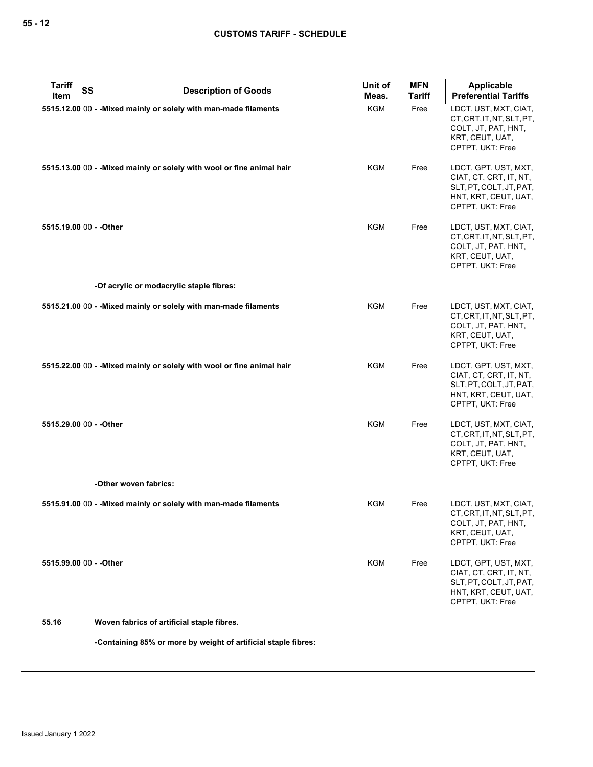| <b>Tariff</b><br>SS<br>Item | <b>Description of Goods</b>                                            | Unit of<br>Meas. | <b>MFN</b><br>Tariff | <b>Applicable</b><br><b>Preferential Tariffs</b>                                                                      |
|-----------------------------|------------------------------------------------------------------------|------------------|----------------------|-----------------------------------------------------------------------------------------------------------------------|
|                             | 5515.12.00 00 - - Mixed mainly or solely with man-made filaments       | <b>KGM</b>       | Free                 | LDCT, UST, MXT, CIAT,<br>CT, CRT, IT, NT, SLT, PT,<br>COLT, JT, PAT, HNT,<br>KRT, CEUT, UAT,<br>CPTPT, UKT: Free      |
|                             | 5515.13.00 00 - - Mixed mainly or solely with wool or fine animal hair | KGM              | Free                 | LDCT, GPT, UST, MXT,<br>CIAT, CT, CRT, IT, NT,<br>SLT, PT, COLT, JT, PAT,<br>HNT, KRT, CEUT, UAT,<br>CPTPT, UKT: Free |
| 5515.19.00 00 - - Other     |                                                                        | <b>KGM</b>       | Free                 | LDCT, UST, MXT, CIAT,<br>CT, CRT, IT, NT, SLT, PT,<br>COLT, JT, PAT, HNT,<br>KRT, CEUT, UAT,<br>CPTPT, UKT: Free      |
|                             | -Of acrylic or modacrylic staple fibres:                               |                  |                      |                                                                                                                       |
|                             | 5515.21.00 00 - - Mixed mainly or solely with man-made filaments       | KGM              | Free                 | LDCT, UST, MXT, CIAT,<br>CT, CRT, IT, NT, SLT, PT,<br>COLT, JT, PAT, HNT,<br>KRT, CEUT, UAT,<br>CPTPT, UKT: Free      |
|                             | 5515.22.00 00 - - Mixed mainly or solely with wool or fine animal hair | KGM              | Free                 | LDCT, GPT, UST, MXT,<br>CIAT, CT, CRT, IT, NT,<br>SLT, PT, COLT, JT, PAT,<br>HNT, KRT, CEUT, UAT,<br>CPTPT, UKT: Free |
| 5515.29.00 00 - - Other     |                                                                        | <b>KGM</b>       | Free                 | LDCT, UST, MXT, CIAT,<br>CT, CRT, IT, NT, SLT, PT,<br>COLT, JT, PAT, HNT,<br>KRT, CEUT, UAT,<br>CPTPT, UKT: Free      |
|                             | -Other woven fabrics:                                                  |                  |                      |                                                                                                                       |
|                             | 5515.91.00 00 - - Mixed mainly or solely with man-made filaments       | KGM              | Free                 | LDCT, UST, MXT, CIAT,<br>CT, CRT, IT, NT, SLT, PT,<br>COLT, JT, PAT, HNT,<br>KRT, CEUT, UAT,<br>CPTPT, UKT: Free      |
| 5515.99.00 00 - - Other     |                                                                        | <b>KGM</b>       | Free                 | LDCT, GPT, UST, MXT,<br>CIAT, CT, CRT, IT, NT,<br>SLT, PT, COLT, JT, PAT,<br>HNT, KRT, CEUT, UAT,<br>CPTPT, UKT: Free |
| 55.16                       | Woven fabrics of artificial staple fibres.                             |                  |                      |                                                                                                                       |

**-Containing 85% or more by weight of artificial staple fibres:**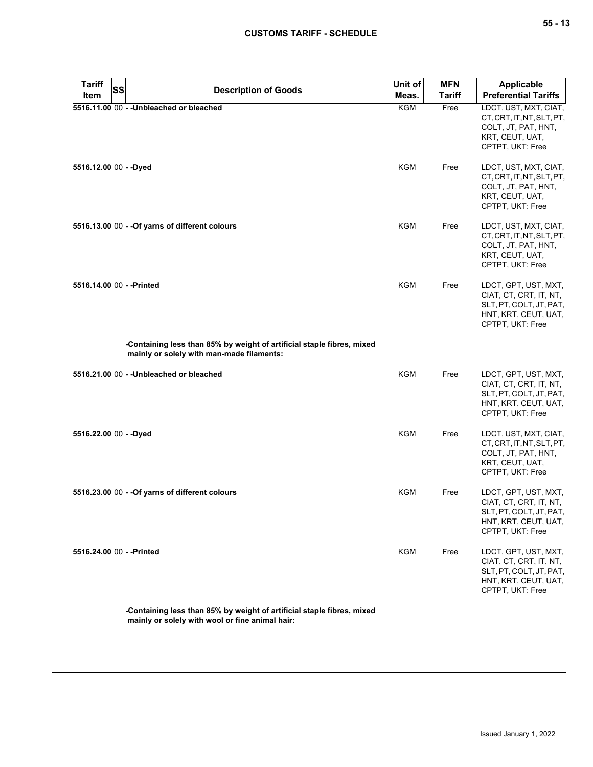| <b>Tariff</b><br><b>SS</b><br>Item | <b>Description of Goods</b>                                                                                         | Unit of<br>Meas. | <b>MFN</b><br><b>Tariff</b> | <b>Applicable</b><br><b>Preferential Tariffs</b>                                                                      |
|------------------------------------|---------------------------------------------------------------------------------------------------------------------|------------------|-----------------------------|-----------------------------------------------------------------------------------------------------------------------|
|                                    | 5516.11.00 00 - - Unbleached or bleached                                                                            | KGM              | Free                        | LDCT, UST, MXT, CIAT,                                                                                                 |
|                                    |                                                                                                                     |                  |                             | CT, CRT, IT, NT, SLT, PT,<br>COLT, JT, PAT, HNT,<br>KRT, CEUT, UAT,<br>CPTPT, UKT: Free                               |
| 5516.12.00 00 - - Dyed             |                                                                                                                     | KGM              | Free                        | LDCT, UST, MXT, CIAT,<br>CT, CRT, IT, NT, SLT, PT,<br>COLT, JT, PAT, HNT,<br>KRT, CEUT, UAT,<br>CPTPT, UKT: Free      |
|                                    | 5516.13.00 00 - - Of yarns of different colours                                                                     | KGM              | Free                        | LDCT, UST, MXT, CIAT,<br>CT, CRT, IT, NT, SLT, PT,<br>COLT, JT, PAT, HNT,<br>KRT, CEUT, UAT,<br>CPTPT, UKT: Free      |
| 5516.14.00 00 - - Printed          |                                                                                                                     | <b>KGM</b>       | Free                        | LDCT, GPT, UST, MXT,<br>CIAT, CT, CRT, IT, NT,<br>SLT, PT, COLT, JT, PAT,<br>HNT, KRT, CEUT, UAT,<br>CPTPT, UKT: Free |
|                                    | -Containing less than 85% by weight of artificial staple fibres, mixed<br>mainly or solely with man-made filaments: |                  |                             |                                                                                                                       |
|                                    | 5516.21.00 00 - - Unbleached or bleached                                                                            | KGM              | Free                        | LDCT, GPT, UST, MXT,<br>CIAT, CT, CRT, IT, NT,<br>SLT, PT, COLT, JT, PAT,<br>HNT, KRT, CEUT, UAT,<br>CPTPT, UKT: Free |
| 5516.22.00 00 - - Dyed             |                                                                                                                     | <b>KGM</b>       | Free                        | LDCT, UST, MXT, CIAT,<br>CT, CRT, IT, NT, SLT, PT,<br>COLT, JT, PAT, HNT,<br>KRT, CEUT, UAT,<br>CPTPT, UKT: Free      |
|                                    | 5516.23.00 00 - - Of yarns of different colours                                                                     | KGM              | Free                        | LDCT, GPT, UST, MXT,<br>CIAT, CT, CRT, IT, NT,<br>SLT, PT, COLT, JT, PAT,<br>HNT, KRT, CEUT, UAT,<br>CPTPT, UKT: Free |
| 5516.24.00 00 - - Printed          |                                                                                                                     | <b>KGM</b>       | Free                        | LDCT, GPT, UST, MXT,<br>CIAT, CT, CRT, IT, NT,<br>SLT, PT, COLT, JT, PAT,<br>HNT, KRT, CEUT, UAT,<br>CPTPT, UKT: Free |

**-Containing less than 85% by weight of artificial staple fibres, mixed mainly or solely with wool or fine animal hair:**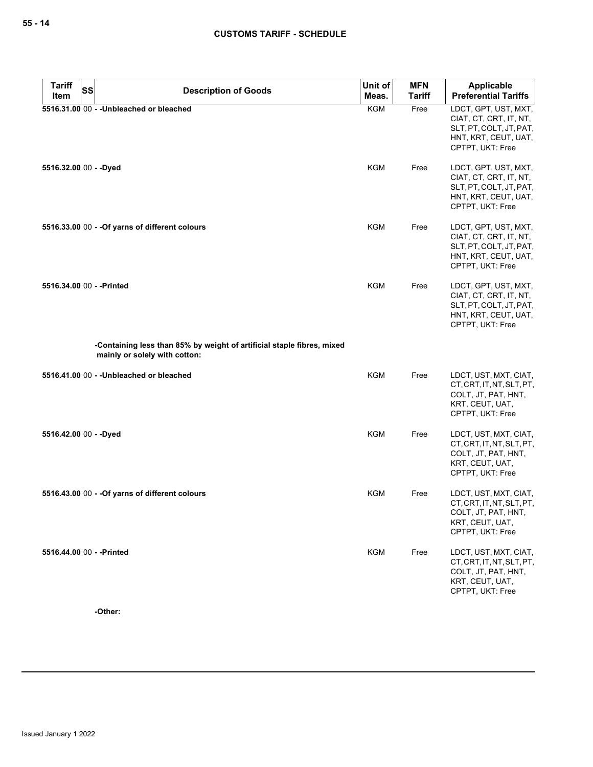| <b>Tariff</b><br>SS       | <b>Description of Goods</b>                                                                             | Unit of    | <b>MFN</b>    | <b>Applicable</b>                                                                                                     |
|---------------------------|---------------------------------------------------------------------------------------------------------|------------|---------------|-----------------------------------------------------------------------------------------------------------------------|
| Item                      |                                                                                                         | Meas.      | <b>Tariff</b> | <b>Preferential Tariffs</b>                                                                                           |
|                           | 5516.31.00 00 - - Unbleached or bleached                                                                | <b>KGM</b> | Free          | LDCT, GPT, UST, MXT,<br>CIAT, CT, CRT, IT, NT,<br>SLT, PT, COLT, JT, PAT,<br>HNT, KRT, CEUT, UAT,<br>CPTPT, UKT: Free |
| 5516.32.00 00 - - Dyed    |                                                                                                         | KGM        | Free          | LDCT, GPT, UST, MXT,<br>CIAT, CT, CRT, IT, NT,<br>SLT, PT, COLT, JT, PAT,<br>HNT, KRT, CEUT, UAT,<br>CPTPT, UKT: Free |
|                           | 5516.33.00 00 - - Of yarns of different colours                                                         | KGM        | Free          | LDCT, GPT, UST, MXT,<br>CIAT, CT, CRT, IT, NT,<br>SLT, PT, COLT, JT, PAT,<br>HNT, KRT, CEUT, UAT,<br>CPTPT, UKT: Free |
| 5516.34.00 00 - - Printed |                                                                                                         | KGM        | Free          | LDCT, GPT, UST, MXT,<br>CIAT, CT, CRT, IT, NT,<br>SLT, PT, COLT, JT, PAT,<br>HNT, KRT, CEUT, UAT,<br>CPTPT, UKT: Free |
|                           | -Containing less than 85% by weight of artificial staple fibres, mixed<br>mainly or solely with cotton: |            |               |                                                                                                                       |
|                           | 5516.41.00 00 - - Unbleached or bleached                                                                | KGM        | Free          | LDCT, UST, MXT, CIAT,<br>CT, CRT, IT, NT, SLT, PT,<br>COLT, JT, PAT, HNT,<br>KRT, CEUT, UAT,<br>CPTPT, UKT: Free      |
| 5516.42.00 00 - - Dyed    |                                                                                                         | KGM        | Free          | LDCT, UST, MXT, CIAT,<br>CT, CRT, IT, NT, SLT, PT,<br>COLT, JT, PAT, HNT,<br>KRT, CEUT, UAT,<br>CPTPT, UKT: Free      |
|                           | 5516.43.00 00 - - Of yarns of different colours                                                         | <b>KGM</b> | Free          | LDCT, UST, MXT, CIAT,<br>CT, CRT, IT, NT, SLT, PT,<br>COLT, JT, PAT, HNT,<br>KRT, CEUT, UAT,<br>CPTPT, UKT: Free      |
| 5516.44.00 00 - - Printed |                                                                                                         | <b>KGM</b> | Free          | LDCT, UST, MXT, CIAT,<br>CT, CRT, IT, NT, SLT, PT,<br>COLT, JT, PAT, HNT,<br>KRT, CEUT, UAT,<br>CPTPT, UKT: Free      |

**-Other:**